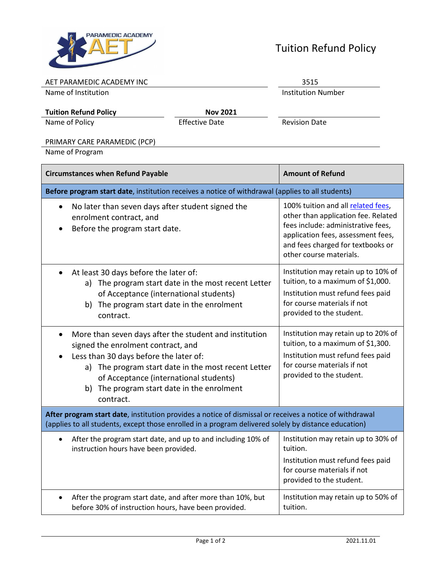

## Tuition Refund Policy

| AET PARAMEDIC ACADEMY INC | 3515 |
|---------------------------|------|
|                           |      |

Name of Institution **Institution** 

**Tuition Refund Policy Nov 2021**

Name of Policy **Effective Date** Revision Date

## PRIMARY CARE PARAMEDIC (PCP)

Name of Program

| <b>Circumstances when Refund Payable</b>                                                                                                                                                                                                                                                                        | <b>Amount of Refund</b>                                                                                                                                                                                               |  |
|-----------------------------------------------------------------------------------------------------------------------------------------------------------------------------------------------------------------------------------------------------------------------------------------------------------------|-----------------------------------------------------------------------------------------------------------------------------------------------------------------------------------------------------------------------|--|
| Before program start date, institution receives a notice of withdrawal (applies to all students)                                                                                                                                                                                                                |                                                                                                                                                                                                                       |  |
| No later than seven days after student signed the<br>$\bullet$<br>enrolment contract, and<br>Before the program start date.                                                                                                                                                                                     | 100% tuition and all related fees,<br>other than application fee. Related<br>fees include: administrative fees,<br>application fees, assessment fees,<br>and fees charged for textbooks or<br>other course materials. |  |
| At least 30 days before the later of:<br>$\bullet$<br>a) The program start date in the most recent Letter<br>of Acceptance (international students)<br>b) The program start date in the enrolment<br>contract.                                                                                                  | Institution may retain up to 10% of<br>tuition, to a maximum of \$1,000.<br>Institution must refund fees paid<br>for course materials if not<br>provided to the student.                                              |  |
| More than seven days after the student and institution<br>$\bullet$<br>signed the enrolment contract, and<br>Less than 30 days before the later of:<br>a) The program start date in the most recent Letter<br>of Acceptance (international students)<br>b) The program start date in the enrolment<br>contract. | Institution may retain up to 20% of<br>tuition, to a maximum of \$1,300.<br>Institution must refund fees paid<br>for course materials if not<br>provided to the student.                                              |  |
| After program start date, institution provides a notice of dismissal or receives a notice of withdrawal<br>(applies to all students, except those enrolled in a program delivered solely by distance education)                                                                                                 |                                                                                                                                                                                                                       |  |
| After the program start date, and up to and including 10% of<br>$\bullet$<br>instruction hours have been provided.                                                                                                                                                                                              | Institution may retain up to 30% of<br>tuition.<br>Institution must refund fees paid<br>for course materials if not<br>provided to the student.                                                                       |  |
| After the program start date, and after more than 10%, but<br>$\bullet$<br>before 30% of instruction hours, have been provided.                                                                                                                                                                                 | Institution may retain up to 50% of<br>tuition.                                                                                                                                                                       |  |